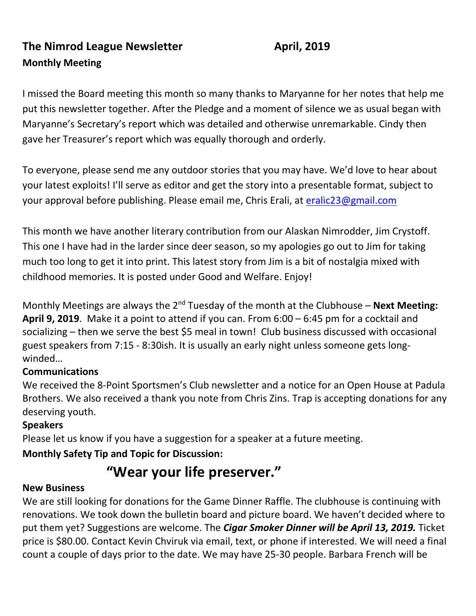## **The Nimrod League Newsletter April, 2019 Monthly Meeting**

I missed the Board meeting this month so many thanks to Maryanne for her notes that help me put this newsletter together. After the Pledge and a moment of silence we as usual began with Maryanne's Secretary's report which was detailed and otherwise unremarkable. Cindy then gave her Treasurer's report which was equally thorough and orderly.

To everyone, please send me any outdoor stories that you may have. We'd love to hear about your latest exploits! I'll serve as editor and get the story into a presentable format, subject to your approval before publishing. Please email me, Chris Erali, at [eralic23@gmail.com](mailto:eralic23@gmail.com)

This month we have another literary contribution from our Alaskan Nimrodder, Jim Crystoff. This one I have had in the larder since deer season, so my apologies go out to Jim for taking much too long to get it into print. This latest story from Jim is a bit of nostalgia mixed with childhood memories. It is posted under Good and Welfare. Enjoy!

Monthly Meetings are always the 2<sup>nd</sup> Tuesday of the month at the Clubhouse – **Next Meeting: April 9, 2019**. Make it a point to attend if you can. From 6:00 – 6:45 pm for a cocktail and socializing – then we serve the best \$5 meal in town! Club business discussed with occasional guest speakers from 7:15 - 8:30ish. It is usually an early night unless someone gets longwinded…

#### **Communications**

We received the 8-Point Sportsmen's Club newsletter and a notice for an Open House at Padula Brothers. We also received a thank you note from Chris Zins. Trap is accepting donations for any deserving youth.

#### **Speakers**

Please let us know if you have a suggestion for a speaker at a future meeting.

#### **Monthly Safety Tip and Topic for Discussion:**

# **"Wear your life preserver."**

#### **New Business**

We are still looking for donations for the Game Dinner Raffle. The clubhouse is continuing with renovations. We took down the bulletin board and picture board. We haven't decided where to put them yet? Suggestions are welcome. The *Cigar Smoker Dinner will be April 13, 2019.* Ticket price is \$80.00. Contact Kevin Chviruk via email, text, or phone if interested. We will need a final count a couple of days prior to the date. We may have 25-30 people. Barbara French will be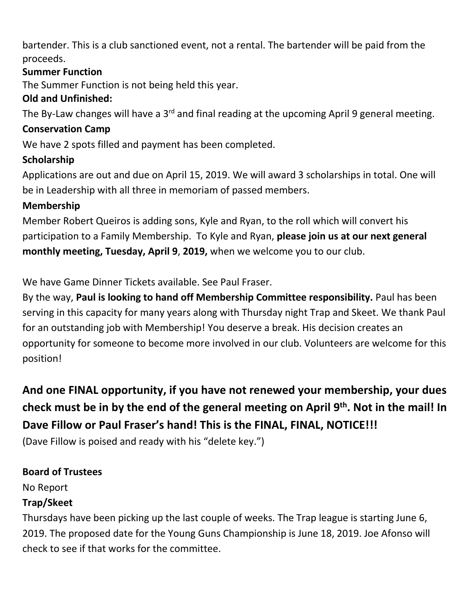bartender. This is a club sanctioned event, not a rental. The bartender will be paid from the proceeds.

#### **Summer Function**

The Summer Function is not being held this year.

#### **Old and Unfinished:**

The By-Law changes will have a 3<sup>rd</sup> and final reading at the upcoming April 9 general meeting.

#### **Conservation Camp**

We have 2 spots filled and payment has been completed.

### **Scholarship**

Applications are out and due on April 15, 2019. We will award 3 scholarships in total. One will be in Leadership with all three in memoriam of passed members.

#### **Membership**

Member Robert Queiros is adding sons, Kyle and Ryan, to the roll which will convert his participation to a Family Membership. To Kyle and Ryan, **please join us at our next general monthly meeting, Tuesday, April 9**, **2019,** when we welcome you to our club.

We have Game Dinner Tickets available. See Paul Fraser.

By the way, **Paul is looking to hand off Membership Committee responsibility.** Paul has been serving in this capacity for many years along with Thursday night Trap and Skeet. We thank Paul for an outstanding job with Membership! You deserve a break. His decision creates an opportunity for someone to become more involved in our club. Volunteers are welcome for this position!

# **And one FINAL opportunity, if you have not renewed your membership, your dues check must be in by the end of the general meeting on April 9th. Not in the mail! In Dave Fillow or Paul Fraser's hand! This is the FINAL, FINAL, NOTICE!!!**

(Dave Fillow is poised and ready with his "delete key.")

#### **Board of Trustees**

No Report

#### **Trap/Skeet**

Thursdays have been picking up the last couple of weeks. The Trap league is starting June 6, 2019. The proposed date for the Young Guns Championship is June 18, 2019. Joe Afonso will check to see if that works for the committee.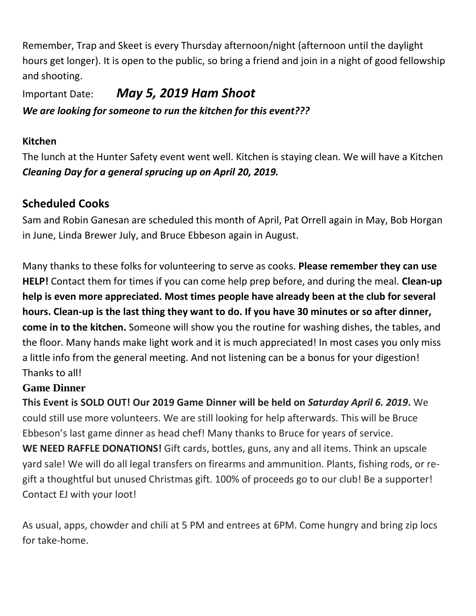Remember, Trap and Skeet is every Thursday afternoon/night (afternoon until the daylight hours get longer). It is open to the public, so bring a friend and join in a night of good fellowship and shooting.

Important Date:*May 5, 2019 Ham Shoot We are looking for someone to run the kitchen for this event???*

#### **Kitchen**

The lunch at the Hunter Safety event went well. Kitchen is staying clean. We will have a Kitchen *Cleaning Day for a general sprucing up on April 20, 2019.* 

### **Scheduled Cooks**

Sam and Robin Ganesan are scheduled this month of April, Pat Orrell again in May, Bob Horgan in June, Linda Brewer July, and Bruce Ebbeson again in August.

Many thanks to these folks for volunteering to serve as cooks. **Please remember they can use HELP!** Contact them for times if you can come help prep before, and during the meal. **Clean-up help is even more appreciated. Most times people have already been at the club for several hours. Clean-up is the last thing they want to do. If you have 30 minutes or so after dinner, come in to the kitchen.** Someone will show you the routine for washing dishes, the tables, and the floor. Many hands make light work and it is much appreciated! In most cases you only miss a little info from the general meeting. And not listening can be a bonus for your digestion! Thanks to all!

#### **Game Dinner**

**This Event is SOLD OUT! Our 2019 Game Dinner will be held on** *Saturday April 6. 2019***.** We could still use more volunteers. We are still looking for help afterwards. This will be Bruce Ebbeson's last game dinner as head chef! Many thanks to Bruce for years of service. **WE NEED RAFFLE DONATIONS!** Gift cards, bottles, guns, any and all items. Think an upscale yard sale! We will do all legal transfers on firearms and ammunition. Plants, fishing rods, or regift a thoughtful but unused Christmas gift. 100% of proceeds go to our club! Be a supporter! Contact EJ with your loot!

As usual, apps, chowder and chili at 5 PM and entrees at 6PM. Come hungry and bring zip locs for take-home.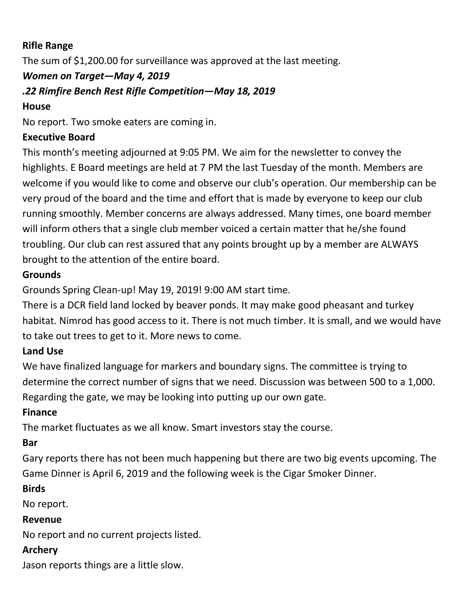#### **Rifle Range**

The sum of \$1,200.00 for surveillance was approved at the last meeting.

### *Women on Target—May 4, 2019*

#### *.22 Rimfire Bench Rest Rifle Competition—May 18, 2019*

#### **House**

No report. Two smoke eaters are coming in.

### **Executive Board**

This month's meeting adjourned at 9:05 PM. We aim for the newsletter to convey the highlights. E Board meetings are held at 7 PM the last Tuesday of the month. Members are welcome if you would like to come and observe our club's operation. Our membership can be very proud of the board and the time and effort that is made by everyone to keep our club running smoothly. Member concerns are always addressed. Many times, one board member will inform others that a single club member voiced a certain matter that he/she found troubling. Our club can rest assured that any points brought up by a member are ALWAYS brought to the attention of the entire board.

### **Grounds**

Grounds Spring Clean-up! May 19, 2019! 9:00 AM start time.

There is a DCR field land locked by beaver ponds. It may make good pheasant and turkey habitat. Nimrod has good access to it. There is not much timber. It is small, and we would have to take out trees to get to it. More news to come.

#### **Land Use**

We have finalized language for markers and boundary signs. The committee is trying to determine the correct number of signs that we need. Discussion was between 500 to a 1,000. Regarding the gate, we may be looking into putting up our own gate.

#### **Finance**

The market fluctuates as we all know. Smart investors stay the course.

#### **Bar**

Gary reports there has not been much happening but there are two big events upcoming. The Game Dinner is April 6, 2019 and the following week is the Cigar Smoker Dinner.

#### **Birds**

No report.

#### **Revenue**

No report and no current projects listed.

#### **Archery**

Jason reports things are a little slow.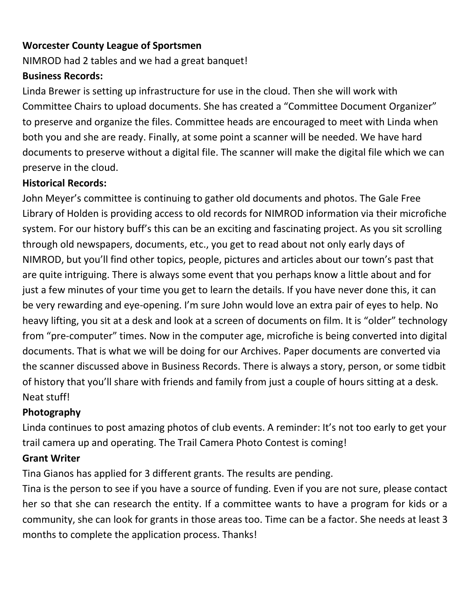#### **Worcester County League of Sportsmen**

NIMROD had 2 tables and we had a great banquet!

#### **Business Records:**

Linda Brewer is setting up infrastructure for use in the cloud. Then she will work with Committee Chairs to upload documents. She has created a "Committee Document Organizer" to preserve and organize the files. Committee heads are encouraged to meet with Linda when both you and she are ready. Finally, at some point a scanner will be needed. We have hard documents to preserve without a digital file. The scanner will make the digital file which we can preserve in the cloud.

#### **Historical Records:**

John Meyer's committee is continuing to gather old documents and photos. The Gale Free Library of Holden is providing access to old records for NIMROD information via their microfiche system. For our history buff's this can be an exciting and fascinating project. As you sit scrolling through old newspapers, documents, etc., you get to read about not only early days of NIMROD, but you'll find other topics, people, pictures and articles about our town's past that are quite intriguing. There is always some event that you perhaps know a little about and for just a few minutes of your time you get to learn the details. If you have never done this, it can be very rewarding and eye-opening. I'm sure John would love an extra pair of eyes to help. No heavy lifting, you sit at a desk and look at a screen of documents on film. It is "older" technology from "pre-computer" times. Now in the computer age, microfiche is being converted into digital documents. That is what we will be doing for our Archives. Paper documents are converted via the scanner discussed above in Business Records. There is always a story, person, or some tidbit of history that you'll share with friends and family from just a couple of hours sitting at a desk. Neat stuff!

#### **Photography**

Linda continues to post amazing photos of club events. A reminder: It's not too early to get your trail camera up and operating. The Trail Camera Photo Contest is coming!

#### **Grant Writer**

Tina Gianos has applied for 3 different grants. The results are pending.

Tina is the person to see if you have a source of funding. Even if you are not sure, please contact her so that she can research the entity. If a committee wants to have a program for kids or a community, she can look for grants in those areas too. Time can be a factor. She needs at least 3 months to complete the application process. Thanks!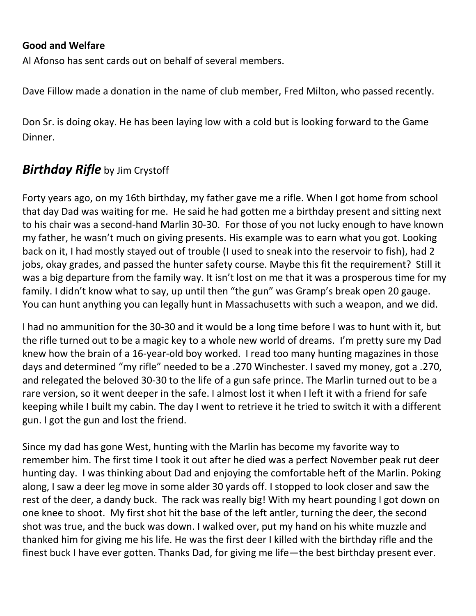#### **Good and Welfare**

Al Afonso has sent cards out on behalf of several members.

Dave Fillow made a donation in the name of club member, Fred Milton, who passed recently.

Don Sr. is doing okay. He has been laying low with a cold but is looking forward to the Game Dinner.

## *Birthday Rifle* by Jim Crystoff

Forty years ago, on my 16th birthday, my father gave me a rifle. When I got home from school that day Dad was waiting for me. He said he had gotten me a birthday present and sitting next to his chair was a second-hand Marlin 30-30. For those of you not lucky enough to have known my father, he wasn't much on giving presents. His example was to earn what you got. Looking back on it, I had mostly stayed out of trouble (I used to sneak into the reservoir to fish), had 2 jobs, okay grades, and passed the hunter safety course. Maybe this fit the requirement? Still it was a big departure from the family way. It isn't lost on me that it was a prosperous time for my family. I didn't know what to say, up until then "the gun" was Gramp's break open 20 gauge. You can hunt anything you can legally hunt in Massachusetts with such a weapon, and we did.

I had no ammunition for the 30-30 and it would be a long time before I was to hunt with it, but the rifle turned out to be a magic key to a whole new world of dreams. I'm pretty sure my Dad knew how the brain of a 16-year-old boy worked. I read too many hunting magazines in those days and determined "my rifle" needed to be a .270 Winchester. I saved my money, got a .270, and relegated the beloved 30-30 to the life of a gun safe prince. The Marlin turned out to be a rare version, so it went deeper in the safe. I almost lost it when I left it with a friend for safe keeping while I built my cabin. The day I went to retrieve it he tried to switch it with a different gun. I got the gun and lost the friend.

Since my dad has gone West, hunting with the Marlin has become my favorite way to remember him. The first time I took it out after he died was a perfect November peak rut deer hunting day. I was thinking about Dad and enjoying the comfortable heft of the Marlin. Poking along, I saw a deer leg move in some alder 30 yards off. I stopped to look closer and saw the rest of the deer, a dandy buck. The rack was really big! With my heart pounding I got down on one knee to shoot. My first shot hit the base of the left antler, turning the deer, the second shot was true, and the buck was down. I walked over, put my hand on his white muzzle and thanked him for giving me his life. He was the first deer I killed with the birthday rifle and the finest buck I have ever gotten. Thanks Dad, for giving me life—the best birthday present ever.